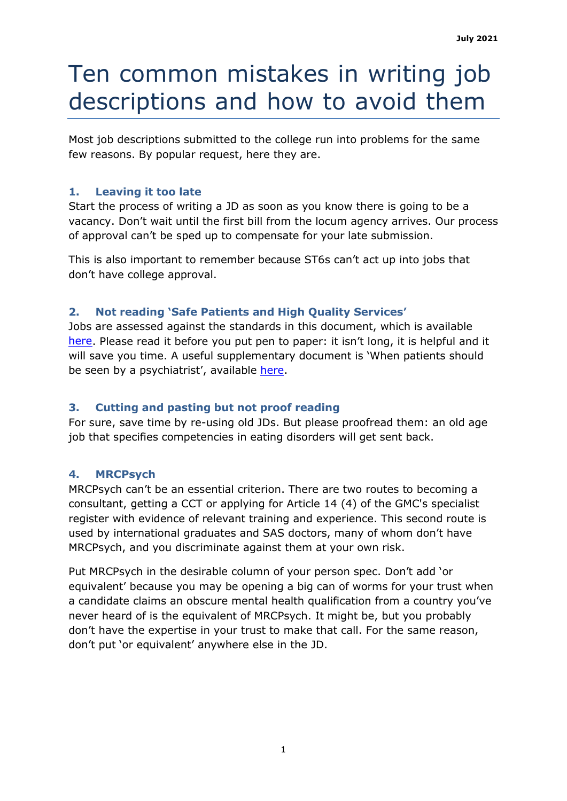# Ten common mistakes in writing job descriptions and how to avoid them

Most job descriptions submitted to the college run into problems for the same few reasons. By popular request, here they are.

## **1. Leaving it too late**

Start the process of writing a JD as soon as you know there is going to be a vacancy. Don't wait until the first bill from the locum agency arrives. Our process of approval can't be sped up to compensate for your late submission.

This is also important to remember because ST6s can't act up into jobs that don't have college approval.

## **2. Not reading 'Safe Patients and High Quality Services'**

Jobs are assessed against the standards in this document, which is available [here.](https://www.rcpsych.ac.uk/docs/default-source/improving-care/better-mh-policy/college-reports/college-report-cr207.pdf?sfvrsn=b2229b95_2) Please read it before you put pen to paper: it isn't long, it is helpful and it will save you time. A useful supplementary document is 'When patients should be seen by a psychiatrist', available [here.](https://www.rcpsych.ac.uk/docs/default-source/improving-care/better-mh-policy/college-reports/college-report-cr184.pdf?sfvrsn=945bcf35_4#:%7E:text=Patients%20who%20have%20mixed%20diagnoses,or%20advocates%20request%20a%20consultation.)

## **3. Cutting and pasting but not proof reading**

For sure, save time by re-using old JDs. But please proofread them: an old age job that specifies competencies in eating disorders will get sent back.

## **4. MRCPsych**

MRCPsych can't be an essential criterion. There are two routes to becoming a consultant, getting a CCT or applying for Article 14 (4) of the GMC's specialist register with evidence of relevant training and experience. This second route is used by international graduates and SAS doctors, many of whom don't have MRCPsych, and you discriminate against them at your own risk.

Put MRCPsych in the desirable column of your person spec. Don't add 'or equivalent' because you may be opening a big can of worms for your trust when a candidate claims an obscure mental health qualification from a country you've never heard of is the equivalent of MRCPsych. It might be, but you probably don't have the expertise in your trust to make that call. For the same reason, don't put 'or equivalent' anywhere else in the JD.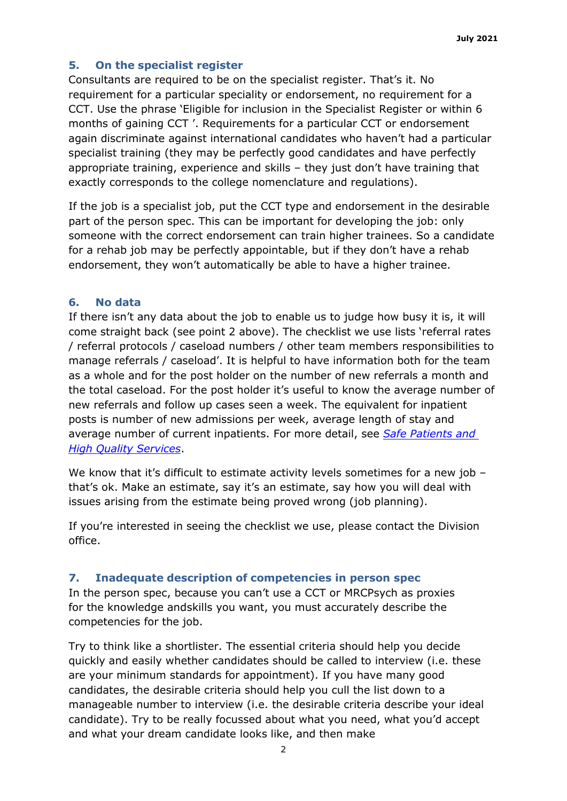### **5. On the specialist register**

Consultants are required to be on the specialist register. That's it. No requirement for a particular speciality or endorsement, no requirement for a CCT. Use the phrase 'Eligible for inclusion in the Specialist Register or within 6 months of gaining CCT '. Requirements for a particular CCT or endorsement again discriminate against international candidates who haven't had a particular specialist training (they may be perfectly good candidates and have perfectly appropriate training, experience and skills – they just don't have training that exactly corresponds to the college nomenclature and regulations).

If the job is a specialist job, put the CCT type and endorsement in the desirable part of the person spec. This can be important for developing the job: only someone with the correct endorsement can train higher trainees. So a candidate for a rehab job may be perfectly appointable, but if they don't have a rehab endorsement, they won't automatically be able to have a higher trainee.

#### **6. No data**

If there isn't any data about the job to enable us to judge how busy it is, it will come straight back (see point 2 above). The checklist we use lists 'referral rates / referral protocols / caseload numbers / other team members responsibilities to manage referrals / caseload'. It is helpful to have information both for the team as a whole and for the post holder on the number of new referrals a month and the total caseload. For the post holder it's useful to know the average number of new referrals and follow up cases seen a week. The equivalent for inpatient posts is number of new admissions per week, average length of stay and average number of current inpatients. For more detail, see *[Safe Patients and](https://www.rcpsych.ac.uk/docs/default-source/improving-care/better-mh-policy/college-reports/college-report-cr207.pdf?sfvrsn=b2229b95_2) High Quality [Services](https://www.rcpsych.ac.uk/docs/default-source/improving-care/better-mh-policy/college-reports/college-report-cr207.pdf?sfvrsn=b2229b95_2)*.

We know that it's difficult to estimate activity levels sometimes for a new job that's ok. Make an estimate, say it's an estimate, say how you will deal with issues arising from the estimate being proved wrong (job planning).

If you're interested in seeing the checklist we use, please contact the Division office.

#### **7. Inadequate description of competencies in person spec**

In the person spec, because you can't use a CCT or MRCPsych as proxies for the knowledge andskills you want, you must accurately describe the competencies for the job.

Try to think like a shortlister. The essential criteria should help you decide quickly and easily whether candidates should be called to interview (i.e. these are your minimum standards for appointment). If you have many good candidates, the desirable criteria should help you cull the list down to a manageable number to interview (i.e. the desirable criteria describe your ideal candidate). Try to be really focussed about what you need, what you'd accept and what your dream candidate looks like, and then make